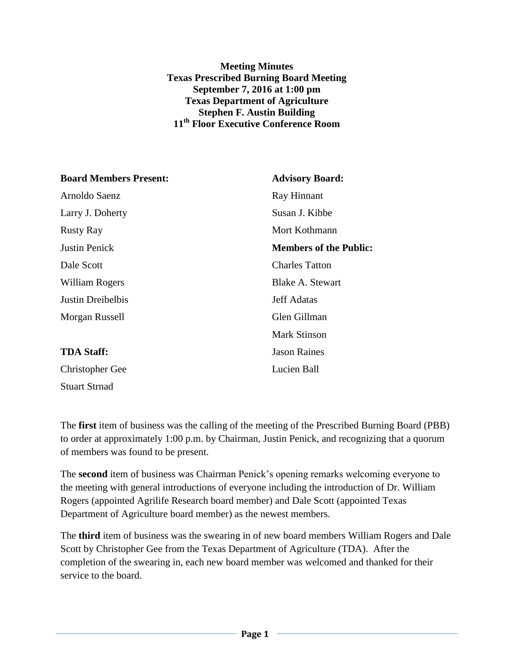## **Meeting Minutes Texas Prescribed Burning Board Meeting September 7, 2016 at 1:00 pm Texas Department of Agriculture Stephen F. Austin Building 11th Floor Executive Conference Room**

| <b>Board Members Present:</b> | <b>Advisory Board:</b>        |
|-------------------------------|-------------------------------|
| Arnoldo Saenz                 | Ray Hinnant                   |
| Larry J. Doherty              | Susan J. Kibbe                |
| <b>Rusty Ray</b>              | Mort Kothmann                 |
| <b>Justin Penick</b>          | <b>Members of the Public:</b> |
| Dale Scott                    | <b>Charles Tatton</b>         |
| William Rogers                | Blake A. Stewart              |
| Justin Dreibelbis             | <b>Jeff Adatas</b>            |
| Morgan Russell                | Glen Gillman                  |
|                               | <b>Mark Stinson</b>           |
| <b>TDA Staff:</b>             | <b>Jason Raines</b>           |
| <b>Christopher Gee</b>        | Lucien Ball                   |
| <b>Stuart Strnad</b>          |                               |

The **first** item of business was the calling of the meeting of the Prescribed Burning Board (PBB) to order at approximately 1:00 p.m. by Chairman, Justin Penick, and recognizing that a quorum of members was found to be present.

The **second** item of business was Chairman Penick's opening remarks welcoming everyone to the meeting with general introductions of everyone including the introduction of Dr. William Rogers (appointed Agrilife Research board member) and Dale Scott (appointed Texas Department of Agriculture board member) as the newest members.

The **third** item of business was the swearing in of new board members William Rogers and Dale Scott by Christopher Gee from the Texas Department of Agriculture (TDA). After the completion of the swearing in, each new board member was welcomed and thanked for their service to the board.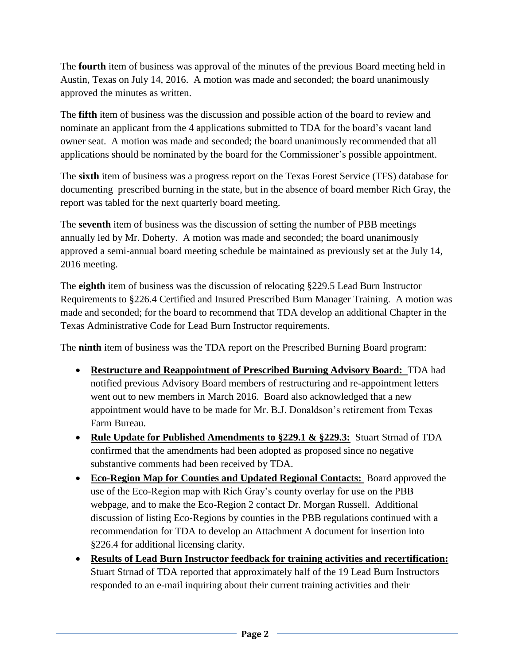The **fourth** item of business was approval of the minutes of the previous Board meeting held in Austin, Texas on July 14, 2016. A motion was made and seconded; the board unanimously approved the minutes as written.

The **fifth** item of business was the discussion and possible action of the board to review and nominate an applicant from the 4 applications submitted to TDA for the board's vacant land owner seat. A motion was made and seconded; the board unanimously recommended that all applications should be nominated by the board for the Commissioner's possible appointment.

The **sixth** item of business was a progress report on the Texas Forest Service (TFS) database for documenting prescribed burning in the state, but in the absence of board member Rich Gray, the report was tabled for the next quarterly board meeting.

The **seventh** item of business was the discussion of setting the number of PBB meetings annually led by Mr. Doherty. A motion was made and seconded; the board unanimously approved a semi-annual board meeting schedule be maintained as previously set at the July 14, 2016 meeting.

The **eighth** item of business was the discussion of relocating §229.5 Lead Burn Instructor Requirements to §226.4 Certified and Insured Prescribed Burn Manager Training. A motion was made and seconded; for the board to recommend that TDA develop an additional Chapter in the Texas Administrative Code for Lead Burn Instructor requirements.

The **ninth** item of business was the TDA report on the Prescribed Burning Board program:

- **Restructure and Reappointment of Prescribed Burning Advisory Board:** TDA had notified previous Advisory Board members of restructuring and re-appointment letters went out to new members in March 2016. Board also acknowledged that a new appointment would have to be made for Mr. B.J. Donaldson's retirement from Texas Farm Bureau.
- **Rule Update for Published Amendments to §229.1 & §229.3:** Stuart Strnad of TDA confirmed that the amendments had been adopted as proposed since no negative substantive comments had been received by TDA.
- **Eco-Region Map for Counties and Updated Regional Contacts:** Board approved the use of the Eco-Region map with Rich Gray's county overlay for use on the PBB webpage, and to make the Eco-Region 2 contact Dr. Morgan Russell. Additional discussion of listing Eco-Regions by counties in the PBB regulations continued with a recommendation for TDA to develop an Attachment A document for insertion into §226.4 for additional licensing clarity.
- **Results of Lead Burn Instructor feedback for training activities and recertification:** Stuart Strnad of TDA reported that approximately half of the 19 Lead Burn Instructors responded to an e-mail inquiring about their current training activities and their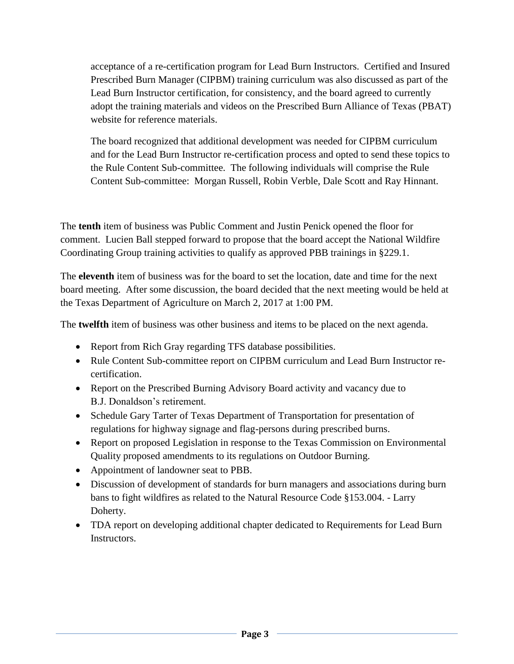acceptance of a re-certification program for Lead Burn Instructors. Certified and Insured Prescribed Burn Manager (CIPBM) training curriculum was also discussed as part of the Lead Burn Instructor certification, for consistency, and the board agreed to currently adopt the training materials and videos on the Prescribed Burn Alliance of Texas (PBAT) website for reference materials.

The board recognized that additional development was needed for CIPBM curriculum and for the Lead Burn Instructor re-certification process and opted to send these topics to the Rule Content Sub-committee. The following individuals will comprise the Rule Content Sub-committee: Morgan Russell, Robin Verble, Dale Scott and Ray Hinnant.

The **tenth** item of business was Public Comment and Justin Penick opened the floor for comment. Lucien Ball stepped forward to propose that the board accept the National Wildfire Coordinating Group training activities to qualify as approved PBB trainings in §229.1.

The **eleventh** item of business was for the board to set the location, date and time for the next board meeting. After some discussion, the board decided that the next meeting would be held at the Texas Department of Agriculture on March 2, 2017 at 1:00 PM.

The **twelfth** item of business was other business and items to be placed on the next agenda.

- Report from Rich Gray regarding TFS database possibilities.
- Rule Content Sub-committee report on CIPBM curriculum and Lead Burn Instructor recertification.
- Report on the Prescribed Burning Advisory Board activity and vacancy due to B.J. Donaldson's retirement.
- Schedule Gary Tarter of Texas Department of Transportation for presentation of regulations for highway signage and flag-persons during prescribed burns.
- Report on proposed Legislation in response to the Texas Commission on Environmental Quality proposed amendments to its regulations on Outdoor Burning.
- Appointment of landowner seat to PBB.
- Discussion of development of standards for burn managers and associations during burn bans to fight wildfires as related to the Natural Resource Code §153.004. - Larry Doherty.
- TDA report on developing additional chapter dedicated to Requirements for Lead Burn Instructors.